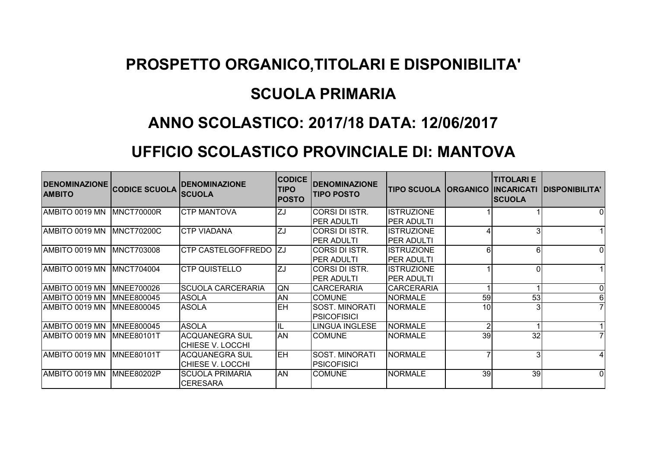## **PROSPETTO ORGANICO,TITOLARI E DISPONIBILITA'**

## **SCUOLA PRIMARIA**

## **ANNO SCOLASTICO: 2017/18 DATA: 12/06/2017**

## **UFFICIO SCOLASTICO PROVINCIALE DI: MANTOVA**

| DENOMINAZIONE CODICE SCUOLA<br><b>AMBITO</b> |                    | <b>IDENOMINAZIONE</b><br><b>SCUOLA</b>    | <b>CODICE</b><br><b>TIPO</b><br><b>POSTO</b> | <b>DENOMINAZIONE</b><br><b>TIPO POSTO</b>   | <b>TIPO SCUOLA</b>                      |                 | <b>TITOLARI E</b><br><b>ORGANICO INCARICATI</b><br><b>SCUOLA</b> | <b>DISPONIBILITA'</b> |
|----------------------------------------------|--------------------|-------------------------------------------|----------------------------------------------|---------------------------------------------|-----------------------------------------|-----------------|------------------------------------------------------------------|-----------------------|
| AMBITO 0019 MN                               | MNCT70000R         | ICTP MANTOVA                              | ZJ                                           | <b>CORSIDISTR.</b><br><b>PER ADULTI</b>     | <b>ISTRUZIONE</b><br><b>IPER ADULTI</b> |                 |                                                                  | $\Omega$              |
| AMBITO 0019 MN                               | <b>IMNCT70200C</b> | <b>CTP VIADANA</b>                        | ZJ                                           | CORSI DI ISTR.<br><b>PER ADULTI</b>         | <b>ISTRUZIONE</b><br>PER ADULTI         |                 |                                                                  |                       |
| AMBITO 0019 MN                               | <b>MNCT703008</b>  | <b>CTP CASTELGOFFREDO</b>                 | IZJ                                          | <b>CORSI DI ISTR.</b><br><b>PER ADULTI</b>  | <b>ISTRUZIONE</b><br><b>IPER ADULTI</b> |                 | 61                                                               | $\Omega$              |
| AMBITO 0019 MN                               | <b>IMNCT704004</b> | <b>ICTP QUISTELLO</b>                     | ZJ                                           | CORSI DI ISTR.<br>IPER ADULTI               | <b>ISTRUZIONE</b><br><b>IPER ADULTI</b> |                 | ΩI                                                               |                       |
| AMBITO 0019 MN                               | MNEE700026         | <b>SCUOLA CARCERARIA</b>                  | QN                                           | <b>CARCERARIA</b>                           | <b>CARCERARIA</b>                       |                 |                                                                  | $\Omega$              |
| AMBITO 0019 MN                               | MNEE800045         | <b>ASOLA</b>                              | <b>AN</b>                                    | <b>COMUNE</b>                               | <b>NORMALE</b>                          | 59              | 53                                                               | $6 \mid$              |
| AMBITO 0019 MN                               | <b>IMNEE800045</b> | <b>ASOLA</b>                              | EH                                           | <b>SOST. MINORATI</b><br><b>PSICOFISICI</b> | <b>NORMALE</b>                          | 10 <sup>1</sup> |                                                                  |                       |
| AMBITO 0019 MN                               | MNEE800045         | <b>ASOLA</b>                              |                                              | LINGUA INGLESE                              | <b>NORMALE</b>                          | C               |                                                                  |                       |
| AMBITO 0019 MN                               | <b>IMNEE80101T</b> | <b>ACQUANEGRA SUL</b><br>CHIESE V. LOCCHI | AN                                           | <b>COMUNE</b>                               | <b>NORMALE</b>                          | 39              | 32                                                               |                       |
| AMBITO 0019 MN                               | <b>MNEE80101T</b>  | <b>ACQUANEGRA SUL</b><br>CHIESE V. LOCCHI | <b>EH</b>                                    | <b>SOST. MINORATI</b><br><b>PSICOFISICI</b> | <b>NORMALE</b>                          |                 | $\overline{\mathbf{3}}$                                          |                       |
| AMBITO 0019 MN                               | MNEE80202P         | <b>SCUOLA PRIMARIA</b><br><b>CERESARA</b> | <b>AN</b>                                    | <b>COMUNE</b>                               | <b>NORMALE</b>                          | 39              | 39                                                               | $\Omega$              |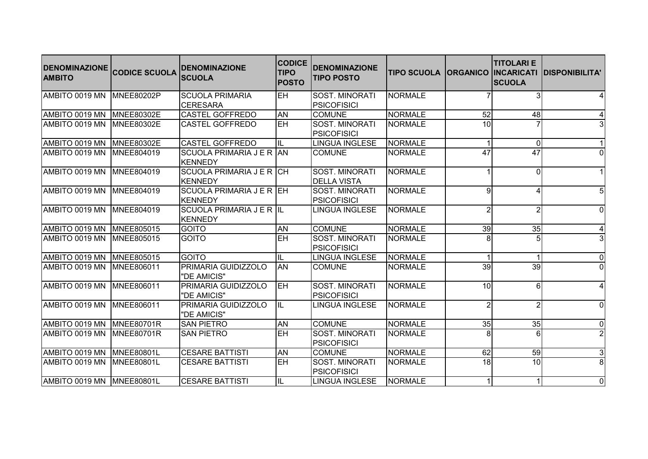| <b>DENOMINAZIONE</b><br><b>AMBITO</b> | <b>CODICE SCUOLA</b> | <b>DENOMINAZIONE</b><br><b>SCUOLA</b>       | <b>CODICE</b><br><b>TIPO</b><br><b>POSTO</b> | <b>DENOMINAZIONE</b><br><b>TIPO POSTO</b>   | <b>TIPO SCUOLA</b> |                 | <b>TITOLARI E</b><br><b>ORGANICO INCARICATI</b><br><b>SCUOLA</b> | <b>IDISPONIBILITA'</b> |
|---------------------------------------|----------------------|---------------------------------------------|----------------------------------------------|---------------------------------------------|--------------------|-----------------|------------------------------------------------------------------|------------------------|
| AMBITO 0019 MN                        | MNEE80202P           | <b>SCUOLA PRIMARIA</b>                      | EH                                           | SOST. MINORATI                              | <b>NORMALE</b>     |                 |                                                                  | 4 <sup>1</sup>         |
|                                       |                      | <b>CERESARA</b>                             |                                              | <b>PSICOFISICI</b>                          |                    |                 |                                                                  |                        |
| AMBITO 0019 MN                        | <b>MNEE80302E</b>    | <b>CASTEL GOFFREDO</b>                      | <b>AN</b>                                    | <b>COMUNE</b>                               | <b>NORMALE</b>     | 52              | 48                                                               | $\vert 4 \vert$        |
| AMBITO 0019 MN                        | MNEE80302E           | <b>CASTEL GOFFREDO</b>                      | EH                                           | SOST. MINORATI<br><b>PSICOFISICI</b>        | <b>NORMALE</b>     | 10              |                                                                  | 3                      |
| AMBITO 0019 MN                        | <b>MNEE80302E</b>    | <b>CASTEL GOFFREDO</b>                      | IL                                           | <b>LINGUA INGLESE</b>                       | NORMALE            |                 | $\overline{0}$                                                   | $\vert$ 1              |
| AMBITO 0019 MN                        | <b>MNEE804019</b>    | SCUOLA PRIMARIA J E R AN<br><b>IKENNEDY</b> |                                              | <b>COMUNE</b>                               | <b>NORMALE</b>     | 47              | 47                                                               | 0                      |
| AMBITO 0019 MN                        | MNEE804019           | SCUOLA PRIMARIA J E R CH<br><b>KENNEDY</b>  |                                              | SOST. MINORATI<br><b>DELLA VISTA</b>        | <b>NORMALE</b>     |                 | $\Omega$                                                         | 1                      |
| AMBITO 0019 MN                        | MNEE804019           | SCUOLA PRIMARIA J E R EH<br>KENNEDY         |                                              | SOST. MINORATI<br><b>PSICOFISICI</b>        | <b>NORMALE</b>     | q               |                                                                  | 5 <sub>l</sub>         |
| AMBITO 0019 MN                        | MNEE804019           | SCUOLA PRIMARIA J E R IL<br><b>KENNEDY</b>  |                                              | LINGUA INGLESE                              | <b>NORMALE</b>     |                 |                                                                  | 0                      |
| AMBITO 0019 MN                        | MNEE805015           | <b>GOITO</b>                                | <b>AN</b>                                    | <b>COMUNE</b>                               | <b>NORMALE</b>     | 39              | 35                                                               | 4                      |
| AMBITO 0019 MN                        | <b>MNEE805015</b>    | <b>GOITO</b>                                | EH                                           | SOST. MINORATI<br><b>PSICOFISICI</b>        | <b>NORMALE</b>     |                 |                                                                  | 3                      |
| AMBITO 0019 MN                        | MNEE805015           | GOITO                                       | IL                                           | <b>LINGUA INGLESE</b>                       | NORMALE            |                 |                                                                  | 0                      |
| AMBITO 0019 MN                        | <b>MNEE806011</b>    | PRIMARIA GUIDIZZOLO<br>"DE AMICIS"          | <b>AN</b>                                    | <b>COMUNE</b>                               | <b>NORMALE</b>     | $\overline{39}$ | 39                                                               | $\overline{0}$         |
| AMBITO 0019 MN                        | <b>MNEE806011</b>    | PRIMARIA GUIDIZZOLO<br>"DE AMICIS"          | <b>EH</b>                                    | <b>SOST. MINORATI</b><br><b>PSICOFISICI</b> | <b>NORMALE</b>     | 10 <sup>1</sup> | 61                                                               | 4 <sup>1</sup>         |
| AMBITO 0019 MN                        | MNEE806011           | PRIMARIA GUIDIZZOLO<br>"DE AMICIS"          | IIL                                          | <b>LINGUA INGLESE</b>                       | <b>NORMALE</b>     | 2               | $\overline{2}$                                                   | $\overline{0}$         |
| AMBITO 0019 MN MNEE80701R             |                      | <b>SAN PIETRO</b>                           | <b>AN</b>                                    | <b>COMUNE</b>                               | <b>NORMALE</b>     | 35              | 35                                                               | 0                      |
| AMBITO 0019 MN                        | MNEE80701R           | <b>SAN PIETRO</b>                           | EH                                           | SOST. MINORATI<br><b>PSICOFISICI</b>        | <b>NORMALE</b>     |                 |                                                                  | $\overline{2}$         |
| AMBITO 0019 MN                        | <b>MNEE80801L</b>    | <b>CESARE BATTISTI</b>                      | <b>AN</b>                                    | <b>COMUNE</b>                               | <b>NORMALE</b>     | 62              | 59                                                               | 3                      |
| AMBITO 0019 MN                        | <b>IMNEE80801L</b>   | <b>CESARE BATTISTI</b>                      | <b>EH</b>                                    | SOST. MINORATI<br><b>PSICOFISICI</b>        | <b>NORMALE</b>     | $\overline{18}$ | 10 <sup>1</sup>                                                  | $\infty$               |
| AMBITO 0019 MN MNEE80801L             |                      | <b>CESARE BATTISTI</b>                      | IL                                           | LINGUA INGLESE                              | <b>NORMALE</b>     |                 |                                                                  | 0                      |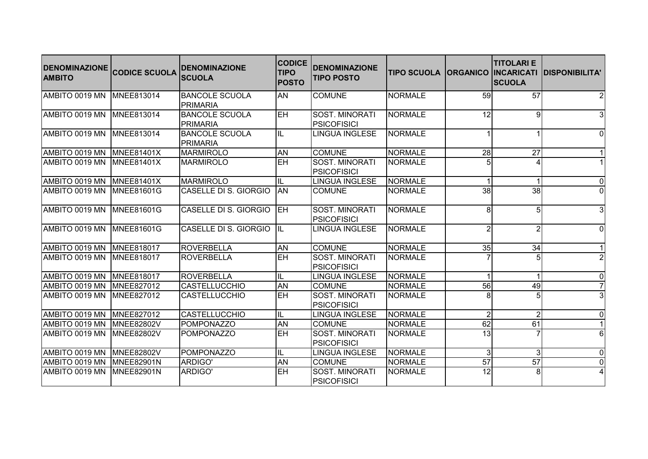| <b>DENOMINAZIONE</b><br><b>AMBITO</b> | <b>CODICE SCUOLA</b> | <b>DENOMINAZIONE</b><br><b>SCUOLA</b>     | <b>CODICE</b><br><b>TIPO</b><br><b>POSTO</b> | <b>DENOMINAZIONE</b><br><b>TIPO POSTO</b>   | <b>TIPO SCUOLA</b> |                 | <b>TITOLARI E</b><br><b>ORGANICO INCARICATI</b><br><b>SCUOLA</b> | <b>IDISPONIBILITA'</b> |
|---------------------------------------|----------------------|-------------------------------------------|----------------------------------------------|---------------------------------------------|--------------------|-----------------|------------------------------------------------------------------|------------------------|
| AMBITO 0019 MN                        | <b>MNEE813014</b>    | <b>BANCOLE SCUOLA</b><br><b>IPRIMARIA</b> | <b>AN</b>                                    | <b>COMUNE</b>                               | <b>NORMALE</b>     | 59              | 57                                                               | $\overline{2}$         |
| AMBITO 0019 MN                        | MNEE813014           | <b>BANCOLE SCUOLA</b><br>PRIMARIA         | <b>EH</b>                                    | SOST. MINORATI<br><b>PSICOFISICI</b>        | <b>NORMALE</b>     | 12              | 9                                                                | $\overline{3}$         |
| AMBITO 0019 MN                        | <b>MNEE813014</b>    | <b>BANCOLE SCUOLA</b><br>PRIMARIA         | IL                                           | LINGUA INGLESE                              | <b>NORMALE</b>     |                 |                                                                  | 0                      |
| AMBITO 0019 MN                        | MNEE81401X           | <b>MARMIROLO</b>                          | <b>AN</b>                                    | <b>COMUNE</b>                               | <b>NORMALE</b>     | 28              | 27                                                               | 1                      |
| AMBITO 0019 MN                        | <b>MNEE81401X</b>    | <b>MARMIROLO</b>                          | EH                                           | <b>SOST. MINORATI</b><br><b>PSICOFISICI</b> | <b>NORMALE</b>     |                 |                                                                  | 1                      |
| AMBITO 0019 MN                        | <b>MNEE81401X</b>    | MARMIROLO                                 | IL                                           | <b>LINGUA INGLESE</b>                       | NORMALE            |                 |                                                                  | 0                      |
| AMBITO 0019 MN                        | MNEE81601G           | <b>CASELLE DI S. GIORGIO</b>              | <b>AN</b>                                    | <b>COMUNE</b>                               | <b>NORMALE</b>     | 38              | 38                                                               | $\Omega$               |
| AMBITO 0019 MN                        | <b>MNEE81601G</b>    | CASELLE DI S. GIORGIO                     | <b>EH</b>                                    | SOST. MINORATI<br><b>PSICOFISICI</b>        | <b>NORMALE</b>     | 8               | 5                                                                | 3                      |
| AMBITO 0019 MN                        | <b>MNEE81601G</b>    | CASELLE DI S. GIORGIO                     | <b>IIL</b>                                   | <b>LINGUA INGLESE</b>                       | <b>NORMALE</b>     |                 |                                                                  | 0                      |
| AMBITO 0019 MN                        | MNEE818017           | ROVERBELLA                                | <b>AN</b>                                    | <b>COMUNE</b>                               | <b>NORMALE</b>     | 35              | 34                                                               | 1                      |
| AMBITO 0019 MN                        | <b>MNEE818017</b>    | ROVERBELLA                                | EH                                           | SOST. MINORATI<br><b>PSICOFISICI</b>        | <b>NORMALE</b>     |                 |                                                                  | 2                      |
| AMBITO 0019 MN                        | MNEE818017           | ROVERBELLA                                | IL                                           | <b>LINGUA INGLESE</b>                       | NORMALE            |                 |                                                                  | 0                      |
| AMBITO 0019 MN                        | <b>MNEE827012</b>    | <b>CASTELLUCCHIO</b>                      | <b>AN</b>                                    | <b>COMUNE</b>                               | <b>NORMALE</b>     | 56              | 49                                                               | 7 <sup>1</sup>         |
| AMBITO 0019 MN                        | <b>MNEE827012</b>    | <b>CASTELLUCCHIO</b>                      | EH                                           | SOST. MINORATI<br><b>PSICOFISICI</b>        | <b>NORMALE</b>     | 8               |                                                                  | $\overline{3}$         |
| AMBITO 0019 MN                        | MNEE827012           | <b>CASTELLUCCHIO</b>                      | IL.                                          | <b>LINGUA INGLESE</b>                       | <b>NORMALE</b>     | $\overline{2}$  | $\overline{2}$                                                   | 0                      |
| AMBITO 0019 MN                        | <b>MNEE82802V</b>    | POMPONAZZO                                | <b>AN</b>                                    | <b>COMUNE</b>                               | <b>NORMALE</b>     | 62              | 61                                                               | 11                     |
| AMBITO 0019 MN                        | MNEE82802V           | POMPONAZZO                                | EH                                           | SOST. MINORATI<br>PSICOFISICI               | <b>NORMALE</b>     | $\overline{13}$ |                                                                  | 6                      |
| AMBITO 0019 MN                        | <b>MNEE82802V</b>    | POMPONAZZO                                | IL                                           | <b>LINGUA INGLESE</b>                       | <b>NORMALE</b>     | 3               | $\overline{3}$                                                   | $\overline{0}$         |
| AMBITO 0019 MN                        | MNEE82901N           | ARDIGO'                                   | <b>AN</b>                                    | <b>COMUNE</b>                               | <b>NORMALE</b>     | 57              | 57                                                               | $\overline{0}$         |
| AMBITO 0019 MN                        | MNEE82901N           | ARDIGO'                                   | EH                                           | SOST. MINORATI<br><b>PSICOFISICI</b>        | <b>NORMALE</b>     | $\overline{12}$ | 8 <sup>1</sup>                                                   | $\overline{4}$         |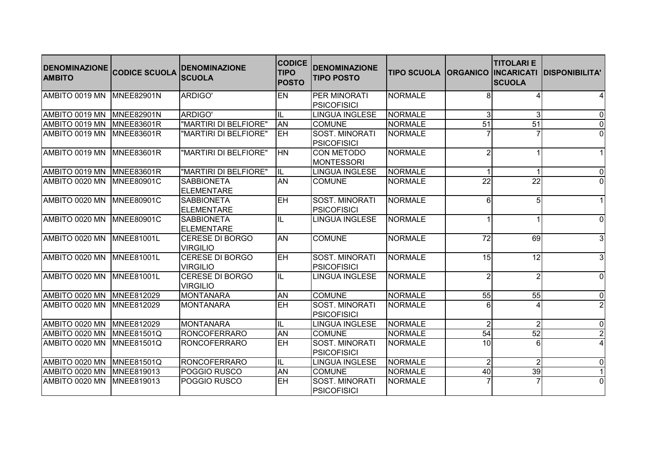| <b>DENOMINAZIONE</b><br><b>AMBITO</b> | <b>CODICE SCUOLA</b> | <b>DENOMINAZIONE</b><br><b>SCUOLA</b>     | <b>CODICE</b><br><b>TIPO</b><br><b>POSTO</b> | <b>DENOMINAZIONE</b><br><b>TIPO POSTO</b>   | <b>TIPO SCUOLA</b> |                 | <b>TITOLARI E</b><br><b>ORGANICO INCARICATI</b><br><b>SCUOLA</b> | <b>DISPONIBILITA'</b> |
|---------------------------------------|----------------------|-------------------------------------------|----------------------------------------------|---------------------------------------------|--------------------|-----------------|------------------------------------------------------------------|-----------------------|
| AMBITO 0019 MN                        | <b>MNEE82901N</b>    | ARDIGO'                                   | EN                                           | PER MINORATI                                | <b>NORMALE</b>     |                 |                                                                  | 4                     |
|                                       |                      |                                           |                                              | <b>PSICOFISICI</b>                          |                    |                 |                                                                  |                       |
| AMBITO 0019 MN                        | MNEE82901N           | ARDIGO'                                   | IL                                           | <b>LINGUA INGLESE</b>                       | <b>NORMALE</b>     | 3               | $\overline{3}$                                                   | 0                     |
| AMBITO 0019 MN                        | MNEE83601R           | "MARTIRI DI BELFIORE"                     | <b>AN</b>                                    | <b>COMUNE</b>                               | <b>NORMALE</b>     | 51              | 51                                                               | 0                     |
| AMBITO 0019 MN                        | MNEE83601R           | "MARTIRI DI BELFIORE"                     | EH                                           | SOST. MINORATI<br><b>PSICOFISICI</b>        | <b>NORMALE</b>     |                 |                                                                  | $\overline{0}$        |
| AMBITO 0019 MN                        | MNEE83601R           | "MARTIRI DI BELFIORE"                     | <b>HN</b>                                    | <b>CON METODO</b><br><b>MONTESSORI</b>      | <b>NORMALE</b>     |                 |                                                                  | 1                     |
| AMBITO 0019 MN                        | <b>MNEE83601R</b>    | "MARTIRI DI BELFIORE"                     | IL                                           | <b>LINGUA INGLESE</b>                       | <b>NORMALE</b>     |                 |                                                                  | 0                     |
| AMBITO 0020 MN                        | <b>MNEE80901C</b>    | <b>SABBIONETA</b><br><b>ELEMENTARE</b>    | <b>AN</b>                                    | <b>COMUNE</b>                               | <b>NORMALE</b>     | $\overline{22}$ | 22                                                               | $\overline{0}$        |
| AMBITO 0020 MN                        | MNEE80901C           | <b>SABBIONETA</b><br>ELEMENTARE           | <b>EH</b>                                    | <b>SOST. MINORATI</b><br><b>PSICOFISICI</b> | <b>NORMALE</b>     | 6               | 5 <sup>1</sup>                                                   | 1                     |
| AMBITO 0020 MN                        | <b>MNEE80901C</b>    | <b>SABBIONETA</b><br>ELEMENTARE           | IL                                           | <b>LINGUA INGLESE</b>                       | <b>NORMALE</b>     |                 |                                                                  | 0                     |
| AMBITO 0020 MN                        | MNEE81001L           | <b>CERESE DI BORGO</b><br><b>VIRGILIO</b> | <b>AN</b>                                    | <b>COMUNE</b>                               | <b>NORMALE</b>     | 72              | 69                                                               | 3                     |
| AMBITO 0020 MN                        | MNEE81001L           | <b>CERESE DI BORGO</b><br><b>VIRGILIO</b> | <b>EH</b>                                    | SOST. MINORATI<br><b>PSICOFISICI</b>        | <b>NORMALE</b>     | 15              | 12                                                               | 3                     |
| AMBITO 0020 MN                        | MNEE81001L           | <b>CERESE DI BORGO</b><br><b>VIRGILIO</b> | IL                                           | <b>LINGUA INGLESE</b>                       | <b>NORMALE</b>     | $\mathfrak{p}$  | $\overline{2}$                                                   | 0                     |
| AMBITO 0020 MN                        | MNEE812029           | MONTANARA                                 | <b>AN</b>                                    | <b>COMUNE</b>                               | <b>NORMALE</b>     | 55              | 55                                                               | 0                     |
| AMBITO 0020 MN                        | <b>MNEE812029</b>    | MONTANARA                                 | EH                                           | SOST. MINORATI<br><b>PSICOFISICI</b>        | <b>NORMALE</b>     |                 |                                                                  | $\overline{2}$        |
| AMBITO 0020 MN                        | MNEE812029           | MONTANARA                                 | IL                                           | <b>LINGUA INGLESE</b>                       | <b>NORMALE</b>     | $\overline{2}$  | $\overline{2}$                                                   | 0                     |
| AMBITO 0020 MN                        | <b>MNEE81501Q</b>    | RONCOFERRARO                              | <b>AN</b>                                    | <b>COMUNE</b>                               | <b>NORMALE</b>     | 54              | 52                                                               | $\overline{2}$        |
| AMBITO 0020 MN                        | <b>MNEE81501Q</b>    | <b>RONCOFERRARO</b>                       | EH                                           | SOST. MINORATI<br><b>PSICOFISICI</b>        | <b>NORMALE</b>     | 10              |                                                                  | $\overline{4}$        |
| AMBITO 0020 MN                        | MNEE81501Q           | RONCOFERRARO                              | IL                                           | <b>LINGUA INGLESE</b>                       | <b>NORMALE</b>     | $\overline{2}$  | $\overline{2}$                                                   | 0                     |
| AMBITO 0020 MN                        | MNEE819013           | POGGIO RUSCO                              | <b>AN</b>                                    | <b>COMUNE</b>                               | <b>NORMALE</b>     | 40              | 39                                                               | 1                     |
| AMBITO 0020 MN                        | MNEE819013           | POGGIO RUSCO                              | EH                                           | <b>SOST. MINORATI</b><br><b>PSICOFISICI</b> | <b>NORMALE</b>     |                 |                                                                  | 0                     |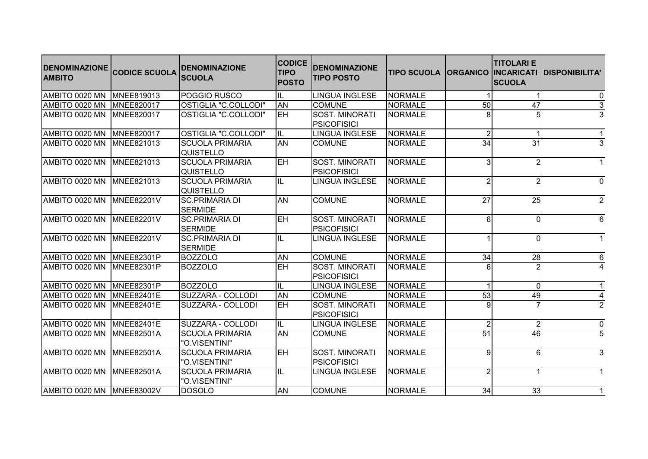| <b>DENOMINAZIONE</b><br><b>AMBITO</b> | <b>CODICE SCUOLA</b> | <b>DENOMINAZIONE</b><br><b>SCUOLA</b>      | <b>CODICE</b><br><b>TIPO</b><br><b>POSTO</b> | <b>DENOMINAZIONE</b><br><b>TIPO POSTO</b>   | <b>TIPO SCUOLA</b> |                 | <b>TITOLARI E</b><br><b>ORGANICO INCARICATI</b><br><b>SCUOLA</b> | <b>DISPONIBILITA'</b> |
|---------------------------------------|----------------------|--------------------------------------------|----------------------------------------------|---------------------------------------------|--------------------|-----------------|------------------------------------------------------------------|-----------------------|
| AMBITO 0020 MN                        | MNEE819013           | POGGIO RUSCO                               | IL.                                          | <b>LINGUA INGLESE</b>                       | <b>NORMALE</b>     |                 |                                                                  | 0                     |
| AMBITO 0020 MN                        | MNEE820017           | OSTIGLIA "C.COLLODI"                       | <b>AN</b>                                    | <b>COMUNE</b>                               | <b>NORMALE</b>     | 50              | $\overline{47}$                                                  | 3                     |
| AMBITO 0020 MN                        | <b>MNEE820017</b>    | OSTIGLIA "C.COLLODI"                       | <b>EH</b>                                    | SOST. MINORATI<br><b>PSICOFISICI</b>        | <b>NORMALE</b>     |                 |                                                                  | $\overline{3}$        |
| AMBITO 0020 MN                        | <b>MNEE820017</b>    | OSTIGLIA "C.COLLODI"                       | IL                                           | <b>LINGUA INGLESE</b>                       | <b>NORMALE</b>     | $\overline{2}$  |                                                                  | 1                     |
| AMBITO 0020 MN                        | <b>IMNEE821013</b>   | <b>SCUOLA PRIMARIA</b><br><b>QUISTELLO</b> | <b>AN</b>                                    | <b>COMUNE</b>                               | <b>NORMALE</b>     | 34              | 31                                                               | $\overline{3}$        |
| AMBITO 0020 MN                        | MNEE821013           | <b>SCUOLA PRIMARIA</b><br><b>QUISTELLO</b> | EH                                           | SOST. MINORATI<br><b>PSICOFISICI</b>        | <b>NORMALE</b>     | $\mathcal{B}$   |                                                                  | 1                     |
| AMBITO 0020 MN                        | MNEE821013           | <b>SCUOLA PRIMARIA</b><br><b>QUISTELLO</b> | IL                                           | <b>LINGUA INGLESE</b>                       | <b>NORMALE</b>     |                 |                                                                  | 0                     |
| AMBITO 0020 MN                        | <b>MNEE82201V</b>    | <b>SC.PRIMARIA DI</b><br><b>SERMIDE</b>    | AN                                           | <b>COMUNE</b>                               | <b>NORMALE</b>     | $\overline{27}$ | 25                                                               | $\overline{2}$        |
| AMBITO 0020 MN                        | MNEE82201V           | <b>SC.PRIMARIA DI</b><br><b>SERMIDE</b>    | EH                                           | SOST. MINORATI<br><b>PSICOFISICI</b>        | <b>NORMALE</b>     | 6               | ΩI                                                               | 6                     |
| AMBITO 0020 MN                        | MNEE82201V           | <b>SC.PRIMARIA DI</b><br><b>SERMIDE</b>    | IL                                           | <b>LINGUA INGLESE</b>                       | <b>NORMALE</b>     |                 | $\Omega$                                                         | 1                     |
| AMBITO 0020 MN                        | <b>MNEE82301P</b>    | <b>BOZZOLO</b>                             | <b>AN</b>                                    | <b>COMUNE</b>                               | <b>NORMALE</b>     | 34              | 28                                                               | 6                     |
| AMBITO 0020 MN                        | MNEE82301P           | <b>BOZZOLO</b>                             | EH                                           | SOST. MINORATI<br><b>PSICOFISICI</b>        | <b>NORMALE</b>     |                 |                                                                  | $\vert$               |
| AMBITO 0020 MN                        | <b>MNEE82301P</b>    | <b>BOZZOLO</b>                             | IL                                           | LINGUA INGLESE                              | NORMALE            |                 | $\Omega$                                                         | 1                     |
| AMBITO 0020 MN                        | <b>MNEE82401E</b>    | SUZZARA - COLLODI                          | <b>AN</b>                                    | <b>COMUNE</b>                               | <b>NORMALE</b>     | 53              | 49                                                               | 4                     |
| AMBITO 0020 MN                        | MNEE82401E           | SUZZARA - COLLODI                          | EH                                           | SOST. MINORATI<br><b>PSICOFISICI</b>        | <b>NORMALE</b>     |                 |                                                                  | $\overline{2}$        |
| AMBITO 0020 MN                        | <b>MNEE82401E</b>    | SUZZARA - COLLODI                          | IL.                                          | <b>LINGUA INGLESE</b>                       | <b>NORMALE</b>     | $\overline{2}$  | $\overline{2}$                                                   | 0                     |
| AMBITO 0020 MN                        | <b>MNEE82501A</b>    | <b>SCUOLA PRIMARIA</b><br>"O.VISENTINI"    | <b>AN</b>                                    | <b>COMUNE</b>                               | <b>NORMALE</b>     | 51              | 46                                                               | $\overline{5}$        |
| AMBITO 0020 MN                        | <b>IMNEE82501A</b>   | <b>SCUOLA PRIMARIA</b><br>"O.VISENTINI"    | <b>EH</b>                                    | <b>SOST. MINORATI</b><br><b>PSICOFISICI</b> | <b>NORMALE</b>     | 9               | 6                                                                | 3                     |
| AMBITO 0020 MN                        | MNEE82501A           | <b>SCUOLA PRIMARIA</b><br>"O.VISENTINI"    | IL                                           | <b>LINGUA INGLESE</b>                       | <b>NORMALE</b>     |                 |                                                                  | 1                     |
| AMBITO 0020 MN MNEE83002V             |                      | <b>DOSOLO</b>                              | <b>AN</b>                                    | <b>COMUNE</b>                               | <b>NORMALE</b>     | 34              | 33                                                               | $\overline{1}$        |